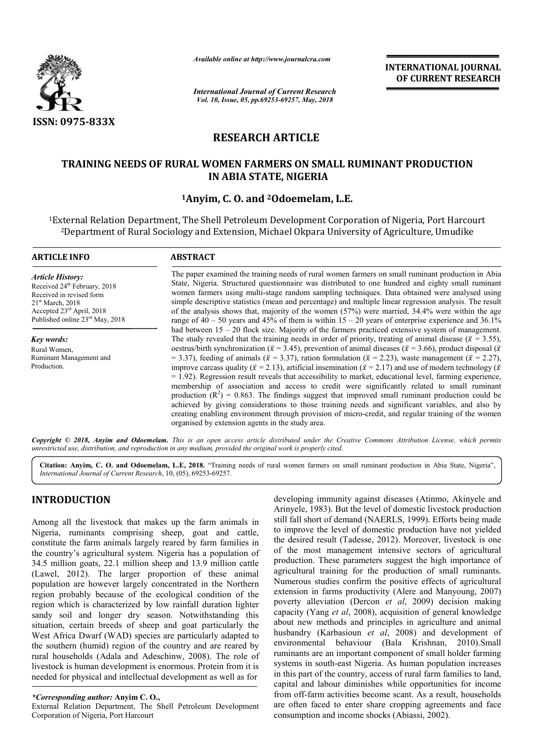

*Available online at http://www.journalcra.com*

*International Journal of Current Research Vol. 10, Issue, 05, pp.69253-69257, May, 2018*

**INTERNATIONAL JOURNAL OF CURRENT RESEARCH**

# **RESEARCH ARTICLE**

## **TRAINING NEEDS OF RURAL WOMEN FARMERS ON SMALL RUMINANT PRODUCTION IN ABIA STATE, NIGERIA**

## **1Anyim Anyim, C. O. and 2Odoemelam, L.E.**

<sup>1</sup>External Relation Department, The Shell Petroleum Development Corporation of Nigeria, Port Harcourt 2Department of Rural Sociology and Extension, Michael Okpara University of Agriculture, Umudike Department of Agriculture, Umudike

| <b>ARTICLE INFO</b>                                                                                                                                                                             | <b>ABSTRACT</b>                                                                                                                                                                                                                                                                                                                                                                                                                                                                                                                                                                                                                                                                                                                               |
|-------------------------------------------------------------------------------------------------------------------------------------------------------------------------------------------------|-----------------------------------------------------------------------------------------------------------------------------------------------------------------------------------------------------------------------------------------------------------------------------------------------------------------------------------------------------------------------------------------------------------------------------------------------------------------------------------------------------------------------------------------------------------------------------------------------------------------------------------------------------------------------------------------------------------------------------------------------|
| <b>Article History:</b><br>Received 24 <sup>th</sup> February, 2018<br>Received in revised form<br>21 <sup>st</sup> March, 2018<br>Accepted 23rd April, 2018<br>Published online 23rd May, 2018 | The paper examined the training needs of rural women farmers on small ruminant production in Abia<br>State, Nigeria. Structured questionnaire was distributed to one hundred and eighty small ruminant<br>women farmers using multi-stage random sampling techniques. Data obtained were analysed using<br>simple descriptive statistics (mean and percentage) and multiple linear regression analysis. The result<br>of the analysis shows that, majority of the women $(57%)$ were married, 34.4% were within the age<br>range of $40 - 50$ years and $45\%$ of them is within $15 - 20$ years of enterprise experience and $36.1\%$<br>had between $15 - 20$ flock size. Majority of the farmers practiced extensive system of management. |
| <b>Key words:</b>                                                                                                                                                                               | The study revealed that the training needs in order of priority, treating of animal disease ( $\bar{x}$ = 3.55),                                                                                                                                                                                                                                                                                                                                                                                                                                                                                                                                                                                                                              |
| Rural Women.                                                                                                                                                                                    | oestrus/birth synchronization ( $\bar{x}$ = 3.45), prevention of animal diseases ( $\bar{x}$ = 3.66), product disposal ( $\bar{x}$ )                                                                                                                                                                                                                                                                                                                                                                                                                                                                                                                                                                                                          |
| Ruminant Management and                                                                                                                                                                         | = 3.37), feeding of animals ( $\bar{x}$ = 3.37), ration formulation ( $\bar{x}$ = 2.23), waste management ( $\bar{x}$ = 2.27),                                                                                                                                                                                                                                                                                                                                                                                                                                                                                                                                                                                                                |
| Production.                                                                                                                                                                                     | improve carcass quality ( $\bar{x}$ = 2.13), artificial insemination ( $\bar{x}$ = 2.17) and use of modern technology ( $\bar{x}$ )<br>$= 1.92$ ). Regression result reveals that accessibility to market, educational level, farming experience,<br>membership of association and access to credit were significantly related to small ruminant<br>production $(R^2) = 0.863$ . The findings suggest that improved small ruminant production could be<br>achieved by giving considerations to those training needs and significant variables, and also by<br>creating enabling environment through provision of micro-credit, and regular training of the women<br>organised by extension agents in the study area.                          |

Copyright © 2018, Anyim and Odoemelam. This is an open access article distributed under the Creative Commons Attribution License, which permits *unrestricted use, distribution, and reproduction in any medium, provided the original work is properly cited.*

Citation: Anyim, C. O. and Odoemelam, L.E, 2018. "Training needs of rural women farmers on small ruminant production in Abia State, Nigeria", *International Journal of Current Research*, 10, (05), 69253 69253-69257.

## **INTRODUCTION**

Among all the livestock that makes up the farm animals in Nigeria, ruminants comprising sheep, goat and cattle, constitute the farm animals largely reared by farm families in the country's agricultural system. Nigeria has a population of 34.5 million goats, 22.1 million sheep and 13.9 million cattle (Lawel, 2012). The larger proportion of these animal population are however largely concentrated in the Northern region probably because of the ecological condition of the region which is characterized by low rainfall duration lighter sandy soil and longer dry season. Notwithstanding this situation, certain breeds of sheep and goat particularly the West Africa Dwarf (WAD) species are particularly adapted to the southern (humid) region of the country and are reared by rural households (Adala and Adeschinw, 2008). The role of livestock is human development is enormous. Protein from it is needed for physical and intellectual development as well as for p and goat particularly the<br>es are particularly adapted to<br>e country and are reared by<br>sschinw, 2008). The role of<br>enormous. Protein from it is

*\*Corresponding author:* **Anyim C. O.,** External Relation Department, The Shell Petroleum Development Corporation of Nigeria, Port Harcourt

developing immunity against diseases (Atinmo, Akinyele and Arinyele, 1983). But the level of domestic livestock production still fall short of demand (NAERLS, 1999). Efforts being made to improve the level of domestic production have not yielded the desired result (Tadesse, 2012). Moreover, livestock is one of the most management intensive sectors of agricultural production. These parameters suggest the high importance of agricultural training for the production of small ruminants. Numerous studies confirm the positive effects of agricultural extension in farms productivity (Alere and Manyoung, 2007) of the most management intensive sectors of agricultural production. These parameters suggest the high importance of agricultural training for the production of small ruminants. Numerous studies confirm the positive effect capacity (Yang *et al*, 2008), acquisition of general knowledge about new methods and principles in agriculture and animal capacity (Yang *et al*, 2008), acquisition of general knowledge about new methods and principles in agriculture and animal husbandry (Karbasioun *et al*, 2008) and development of environmental behaviour (Bala Krishnan, 2010).Small ruminants are an important component of small holder farming systems in south-east Nigeria. As human population increases systems in south-east Nigeria. As human population increases in this part of the country, access of rural farm families to land, capital and labour diminishes while opportunities for income from off-farm activities become scant. As a result, households are often faced to enter share cropping agreements and face consumption and income shocks (Abiassi, 2002). Arinyele, 1983). But the level of domestic livestock production<br>still fall short of demand (NAERLS, 1999). Efforts being made<br>to improve the level of domestic production have not yielded INTERNATIONAL JOURNAL OF CURRENT RESEARCH OF CURRENT RESEARCH May, 2018<br>
Let  $\vec{R}$  and  $\vec{R}$  and  $\vec{R}$  and  $\vec{R}$  and  $\vec{R}$  and  $\vec{R}$  and  $\vec{R}$  and  $\vec{R}$  and  $\vec{R}$  and  $\vec{R}$  and  $\vec{R}$  and  $\vec{R}$  and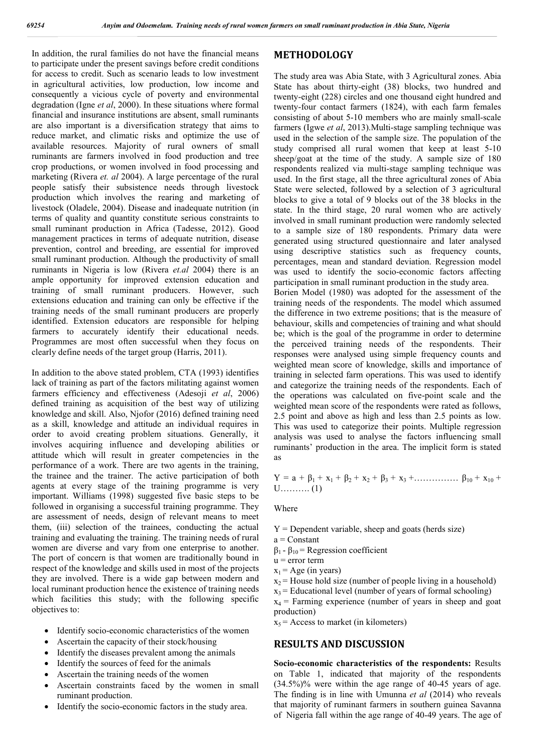In addition, the rural families do not have the financial means to participate under the present savings before credit conditions for access to credit. Such as scenario leads to low investment in agricultural activities, low production, low income and consequently a vicious cycle of poverty and environmental degradation (Igne *et al*, 2000). In these situations where formal financial and insurance institutions are absent, small ruminants are also important is a diversification strategy that aims to reduce market, and climatic risks and optimize the use of available resources. Majority of rural owners of small ruminants are farmers involved in food production and tree crop productions, or women involved in food processing and marketing (Rivera *et. al* 2004). A large percentage of the rural people satisfy their subsistence needs through livestock production which involves the rearing and marketing of livestock (Oladele, 2004). Disease and inadequate nutrition (in terms of quality and quantity constitute serious constraints to small ruminant production in Africa (Tadesse, 2012). Good management practices in terms of adequate nutrition, disease prevention, control and breeding, are essential for improved small ruminant production. Although the productivity of small ruminants in Nigeria is low (Rivera *et.al* 2004) there is an ample opportunity for improved extension education and training of small ruminant producers. However, such extensions education and training can only be effective if the training needs of the small ruminant producers are properly identified. Extension educators are responsible for helping farmers to accurately identify their educational needs. Programmes are most often successful when they focus on clearly define needs of the target group (Harris, 2011).

In addition to the above stated problem, CTA (1993) identifies lack of training as part of the factors militating against women farmers efficiency and effectiveness (Adesoji *et al*, 2006) defined training as acquisition of the best way of utilizing knowledge and skill. Also, Njofor (2016) defined training need as a skill, knowledge and attitude an individual requires in order to avoid creating problem situations. Generally, it involves acquiring influence and developing abilities or attitude which will result in greater competencies in the performance of a work. There are two agents in the training, the trainee and the trainer. The active participation of both agents at every stage of the training programme is very important. Williams (1998) suggested five basic steps to be followed in organising a successful training programme. They are assessment of needs, design of relevant means to meet them, (iii) selection of the trainees, conducting the actual training and evaluating the training. The training needs of rural women are diverse and vary from one enterprise to another. The port of concern is that women are traditionally bound in respect of the knowledge and skills used in most of the projects they are involved. There is a wide gap between modern and local ruminant production hence the existence of training needs which facilities this study; with the following specific objectives to:

- Identify socio-economic characteristics of the women
- Ascertain the capacity of their stock/housing
- Identify the diseases prevalent among the animals
- Identify the sources of feed for the animals
- Ascertain the training needs of the women
- Ascertain constraints faced by the women in small ruminant production.
- Identify the socio-economic factors in the study area.

## **METHODOLOGY**

The study area was Abia State, with 3 Agricultural zones. Abia State has about thirty-eight (38) blocks, two hundred and twenty-eight (228) circles and one thousand eight hundred and twenty-four contact farmers (1824), with each farm females consisting of about 5-10 members who are mainly small-scale farmers (Igwe *et al*, 2013).Multi-stage sampling technique was used in the selection of the sample size. The population of the study comprised all rural women that keep at least 5-10 sheep/goat at the time of the study. A sample size of 180 respondents realized via multi-stage sampling technique was used. In the first stage, all the three agricultural zones of Abia State were selected, followed by a selection of 3 agricultural blocks to give a total of 9 blocks out of the 38 blocks in the state. In the third stage, 20 rural women who are actively involved in small ruminant production were randomly selected to a sample size of 180 respondents. Primary data were generated using structured questionnaire and later analysed using descriptive statistics such as frequency counts, percentages, mean and standard deviation. Regression model was used to identify the socio-economic factors affecting participation in small ruminant production in the study area. Borien Model (1980) was adopted for the assessment of the training needs of the respondents. The model which assumed the difference in two extreme positions; that is the measure of behaviour, skills and competencies of training and what should be; which is the goal of the programme in order to determine the perceived training needs of the respondents. Their responses were analysed using simple frequency counts and weighted mean score of knowledge, skills and importance of training in selected farm operations. This was used to identify and categorize the training needs of the respondents. Each of the operations was calculated on five-point scale and the weighted mean score of the respondents were rated as follows, 2.5 point and above as high and less than 2.5 points as low. This was used to categorize their points. Multiple regression analysis was used to analyse the factors influencing small ruminants' production in the area. The implicit form is stated as

Y = a + 
$$
\beta_1
$$
 + x<sub>1</sub> +  $\beta_2$  + x<sub>2</sub> +  $\beta_3$  + x<sub>3</sub> +............  $\beta_{10}$  + x<sub>10</sub> + U............(1)

#### Where

- $Y =$  Dependent variable, sheep and goats (herds size)
- $a = Constant$
- $β<sub>1</sub> β<sub>10</sub> = Regression coefficient$
- $u = error term$
- $x_1$  = Age (in years)
- $x<sub>2</sub>$  = House hold size (number of people living in a household)
- $x_3$  = Educational level (number of years of formal schooling)

 $x_4$  = Farming experience (number of years in sheep and goat production)

 $x_5$  = Access to market (in kilometers)

### **RESULTS AND DISCUSSION**

**Socio-economic characteristics of the respondents:** Results on Table 1, indicated that majority of the respondents  $(34.5\%)$ % were within the age range of 40-45 years of age. The finding is in line with Umunna *et al* (2014) who reveals that majority of ruminant farmers in southern guinea Savanna of Nigeria fall within the age range of 40-49 years. The age of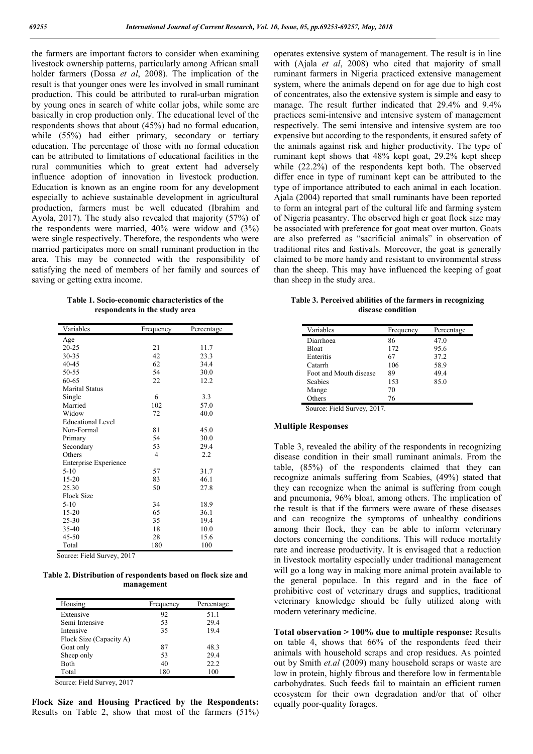the farmers are important factors to consider when examining livestock ownership patterns, particularly among African small holder farmers (Dossa *et al*, 2008). The implication of the result is that younger ones were les involved in small ruminant production. This could be attributed to rural-urban migration by young ones in search of white collar jobs, while some are basically in crop production only. The educational level of the respondents shows that about (45%) had no formal education, while (55%) had either primary, secondary or tertiary education. The percentage of those with no formal education can be attributed to limitations of educational facilities in the rural communities which to great extent had adversely influence adoption of innovation in livestock production. Education is known as an engine room for any development especially to achieve sustainable development in agricultural production, farmers must be well educated (Ibrahim and Ayola, 2017). The study also revealed that majority (57%) of the respondents were married, 40% were widow and (3%) were single respectively. Therefore, the respondents who were married participates more on small ruminant production in the area. This may be connected with the responsibility of satisfying the need of members of her family and sources of saving or getting extra income.

**Table 1. Socio-economic characteristics of the respondents in the study area**

| Variables                | Frequency | Percentage |
|--------------------------|-----------|------------|
| Age                      |           |            |
| $20 - 25$                | 21        | 11.7       |
| 30-35                    | 42        | 23.3       |
| 40-45                    | 62        | 34.4       |
| 50-55                    | 54        | 30.0       |
| 60-65                    | 22        | 12.2       |
| <b>Marital Status</b>    |           |            |
| Single                   | 6         | 3.3        |
| Married                  | 102       | 57.0       |
| Widow                    | 72        | 40.0       |
| <b>Educational Level</b> |           |            |
| Non-Formal               | 81        | 45.0       |
| Primary                  | 54        | 30.0       |
| Secondary                | 53        | 29.4       |
| Others                   | 4         | 2.2        |
| Enterprise Experience    |           |            |
| $5-10$                   | 57        | 31.7       |
| $15 - 20$                | 83        | 46.1       |
| 25.30                    | 50        | 27.8       |
| <b>Flock Size</b>        |           |            |
| $5-10$                   | 34        | 18.9       |
| 15-20                    | 65        | 36.1       |
| 25-30                    | 35        | 19.4       |
| 35-40                    | 18        | 10.0       |
| 45-50                    | 28        | 15.6       |
| Total                    | 180       | 100        |

Source: Field Survey, 2017

**Table 2. Distribution of respondents based on flock size and management**

| Housing                 | Frequency | Percentage |  |
|-------------------------|-----------|------------|--|
| Extensive               | 92        | 51.1       |  |
| Semi Intensive          | 53        | 29.4       |  |
| Intensive               | 35        | 19.4       |  |
| Flock Size (Capacity A) |           |            |  |
| Goat only               | 87        | 48.3       |  |
| Sheep only              | 53        | 29.4       |  |
| Both                    | 40        | 22.2       |  |
| Total                   | 180       | 100        |  |

Source: Field Survey, 2017

**Flock Size and Housing Practiced by the Respondents:**  Results on Table 2, show that most of the farmers (51%) operates extensive system of management. The result is in line with (Ajala *et al*, 2008) who cited that majority of small ruminant farmers in Nigeria practiced extensive management system, where the animals depend on for age due to high cost of concentrates, also the extensive system is simple and easy to manage. The result further indicated that 29.4% and 9.4% practices semi-intensive and intensive system of management respectively. The semi intensive and intensive system are too expensive but according to the respondents, it ensured safety of the animals against risk and higher productivity. The type of ruminant kept shows that 48% kept goat, 29.2% kept sheep while (22.2%) of the respondents kept both. The observed differ ence in type of ruminant kept can be attributed to the type of importance attributed to each animal in each location. Ajala (2004) reported that small ruminants have been reported to form an integral part of the cultural life and farming system of Nigeria peasantry. The observed high er goat flock size may be associated with preference for goat meat over mutton. Goats are also preferred as "sacrificial animals" in observation of traditional rites and festivals. Moreover, the goat is generally claimed to be more handy and resistant to environmental stress than the sheep. This may have influenced the keeping of goat than sheep in the study area.

**Table 3. Perceived abilities of the farmers in recognizing disease condition**

| Variables              | Frequency | Percentage |
|------------------------|-----------|------------|
| Diarrhoea              | 86        | 47.0       |
| Bloat                  | 172       | 95.6       |
| Enteritis              | 67        | 37.2       |
| Catarrh                | 106       | 58.9       |
| Foot and Mouth disease | 89        | 49.4       |
| <b>Scabies</b>         | 153       | 85.0       |
| Mange                  | 70        |            |
| Others                 | 76        |            |

Source: Field Survey, 2017.

### **Multiple Responses**

Table 3, revealed the ability of the respondents in recognizing disease condition in their small ruminant animals. From the table, (85%) of the respondents claimed that they can recognize animals suffering from Scabies, (49%) stated that they can recognize when the animal is suffering from cough and pneumonia, 96% bloat, among others. The implication of the result is that if the farmers were aware of these diseases and can recognize the symptoms of unhealthy conditions among their flock, they can be able to inform veterinary doctors concerning the conditions. This will reduce mortality rate and increase productivity. It is envisaged that a reduction in livestock mortality especially under traditional management will go a long way in making more animal protein available to the general populace. In this regard and in the face of prohibitive cost of veterinary drugs and supplies, traditional veterinary knowledge should be fully utilized along with modern veterinary medicine.

**Total observation > 100% due to multiple response:** Results on table 4, shows that 66% of the respondents feed their animals with household scraps and crop residues. As pointed out by Smith *et.al* (2009) many household scraps or waste are low in protein, highly fibrous and therefore low in fermentable carbohydrates. Such feeds fail to maintain an efficient rumen ecosystem for their own degradation and/or that of other equally poor-quality forages.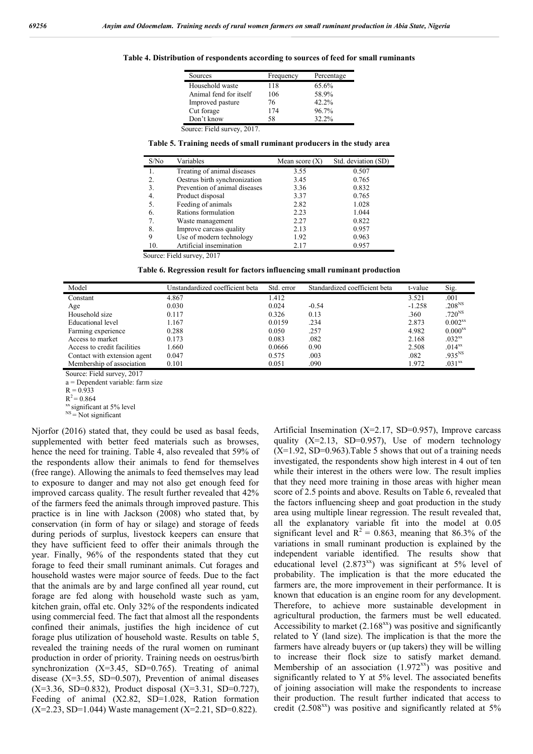|  |  | Table 4. Distribution of respondents according to sources of feed for small ruminants |  |
|--|--|---------------------------------------------------------------------------------------|--|
|  |  |                                                                                       |  |

| Sources                | Frequency | Percentage |
|------------------------|-----------|------------|
| Household waste        | 118       | 65.6%      |
| Animal fend for itself | 106       | 58.9%      |
| Improved pasture       | 76        | 42.2%      |
| Cut forage             | 174       | 96.7%      |
| Don't know             | 58        | $32.2\%$   |

**Table 5. Training needs of small ruminant producers in the study area**

| S/N <sub>0</sub> | Variables                     | Mean score $(X)$ | Std. deviation (SD) |
|------------------|-------------------------------|------------------|---------------------|
| 1.               | Treating of animal diseases   | 3.55             | 0.507               |
| 2.               | Oestrus birth synchronization | 3.45             | 0.765               |
| 3.               | Prevention of animal diseases | 3.36             | 0.832               |
| 4.               | Product disposal              | 3.37             | 0.765               |
| 5.               | Feeding of animals            | 2.82             | 1.028               |
| 6.               | Rations formulation           | 2.23             | 1.044               |
| 7.               | Waste management              | 2.27             | 0.822               |
| 8.               | Improve carcass quality       | 2.13             | 0.957               |
| 9                | Use of modern technology      | 1.92             | 0.963               |
| 10.              | Artificial insemination       | 2.17             | 0.957               |

Source: Field survey, 2017

**Table 6. Regression result for factors influencing small ruminant production**

| Model                        | Unstandardized coefficient beta | Std. error | Standardized coefficient beta | t-value  | Sig.               |
|------------------------------|---------------------------------|------------|-------------------------------|----------|--------------------|
| Constant                     | 4.867                           | 1.412      |                               | 3.521    | .001               |
| Age                          | 0.030                           | 0.024      | $-0.54$                       | $-1.258$ | .208 <sup>NS</sup> |
| Household size               | 0.117                           | 0.326      | 0.13                          | .360     | $.720^{NS}$        |
| Educational level            | 1.167                           | 0.0159     | .234                          | 2.873    | $0.002^{xx}$       |
| Farming experience           | 0.288                           | 0.050      | .257                          | 4.982    | $0.000^{xx}$       |
| Access to market             | 0.173                           | 0.083      | .082                          | 2.168    | $.032^{xx}$        |
| Access to credit facilities  | 1.660                           | 0.0666     | 0.90                          | 2.508    | $.014^{xx}$        |
| Contact with extension agent | 0.047                           | 0.575      | .003                          | .082     | .935 <sup>NS</sup> |
| Membership of association    | 0.101                           | 0.051      | .090                          | 1.972    | $.031^{xx}$        |

Source: Field survey, 2017

a = Dependent variable: farm size

 $R = 0.933$ 

 $R^2 = 0.864$ 

<sup>xx</sup> significant at 5% level<br><sup>NS</sup> = Not significant

Njorfor (2016) stated that, they could be used as basal feeds, supplemented with better feed materials such as browses, hence the need for training. Table 4, also revealed that 59% of the respondents allow their animals to fend for themselves (free range). Allowing the animals to feed themselves may lead to exposure to danger and may not also get enough feed for improved carcass quality. The result further revealed that 42% of the farmers feed the animals through improved pasture. This practice is in line with Jackson (2008) who stated that, by conservation (in form of hay or silage) and storage of feeds during periods of surplus, livestock keepers can ensure that they have sufficient feed to offer their animals through the year. Finally, 96% of the respondents stated that they cut forage to feed their small ruminant animals. Cut forages and household wastes were major source of feeds. Due to the fact that the animals are by and large confined all year round, cut forage are fed along with household waste such as yam, kitchen grain, offal etc. Only 32% of the respondents indicated using commercial feed. The fact that almost all the respondents confined their animals, justifies the high incidence of cut forage plus utilization of household waste. Results on table 5, revealed the training needs of the rural women on ruminant production in order of priority. Training needs on oestrus/birth synchronization  $(X=3.45, SD=0.765)$ . Treating of animal disease  $(X=3.55, SD=0.507)$ , Prevention of animal diseases  $(X=3.36, SD=0.832)$ , Product disposal  $(X=3.31, SD=0.727)$ , Feeding of animal (X2.82, SD=1.028, Ration formation  $(X=2.23, SD=1.044)$  Waste management  $(X=2.21, SD=0.822)$ .

Artificial Insemination (X=2.17, SD=0.957), Improve carcass quality  $(X=2.13, SD=0.957)$ , Use of modern technology  $(X=1.92, SD=0.963)$ . Table 5 shows that out of a training needs investigated, the respondents show high interest in 4 out of ten while their interest in the others were low. The result implies that they need more training in those areas with higher mean score of 2.5 points and above. Results on Table 6, revealed that the factors influencing sheep and goat production in the study area using multiple linear regression. The result revealed that, all the explanatory variable fit into the model at 0.05 significant level and  $R^2 = 0.863$ , meaning that 86.3% of the variations in small ruminant production is explained by the independent variable identified. The results show that educational level  $(2.873^{xx})$  was significant at 5% level of probability. The implication is that the more educated the farmers are, the more improvement in their performance. It is known that education is an engine room for any development. Therefore, to achieve more sustainable development in agricultural production, the farmers must be well educated. Accessibility to market  $(2.168<sup>xx</sup>)$  was positive and significantly related to Y (land size). The implication is that the more the farmers have already buyers or (up takers) they will be willing to increase their flock size to satisfy market demand. Membership of an association  $(1.972<sup>xx</sup>)$  was positive and significantly related to Y at 5% level. The associated benefits of joining association will make the respondents to increase their production. The result further indicated that access to credit (2.508 $^{xx}$ ) was positive and significantly related at 5%